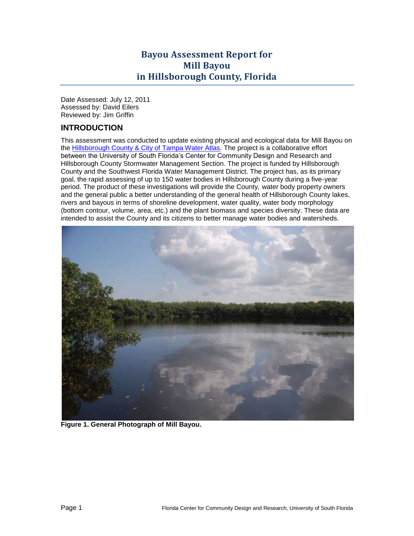# **Bayou Assessment Report for Mill Bayou in Hillsborough County, Florida**

Date Assessed: July 12, 2011 Assessed by: David Eilers Reviewed by: Jim Griffin

## **INTRODUCTION**

This assessment was conducted to update existing physical and ecological data for Mill Bayou on the [Hillsborough County & City of Tampa Water Atlas.](http://www.hillsborough.wateratlas.usf.edu/TopicDetails.aspx?TopicID=65) The project is a collaborative effort between the University of South Florida's Center for Community Design and Research and Hillsborough County Stormwater Management Section. The project is funded by Hillsborough County and the Southwest Florida Water Management District. The project has, as its primary goal, the rapid assessing of up to 150 water bodies in Hillsborough County during a five-year period. The product of these investigations will provide the County, water body property owners and the general public a better understanding of the general health of Hillsborough County lakes, rivers and bayous in terms of shoreline development, water quality, water body morphology (bottom contour, volume, area, etc.) and the plant biomass and species diversity. These data are intended to assist the County and its citizens to better manage water bodies and watersheds.



**Figure 1. General Photograph of Mill Bayou.**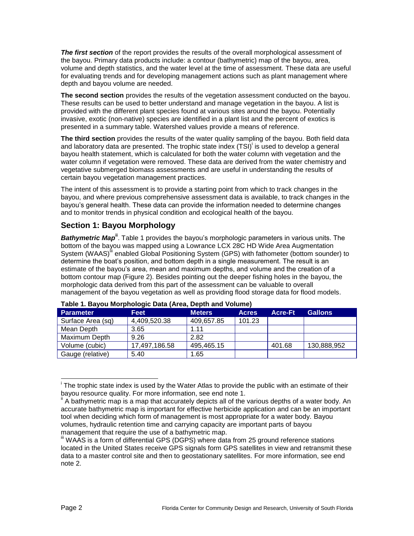*The first section* of the report provides the results of the overall morphological assessment of the bayou. Primary data products include: a contour (bathymetric) map of the bayou, area, volume and depth statistics, and the water level at the time of assessment. These data are useful for evaluating trends and for developing management actions such as plant management where depth and bayou volume are needed.

**The second section** provides the results of the vegetation assessment conducted on the bayou. These results can be used to better understand and manage vegetation in the bayou. A list is provided with the different plant species found at various sites around the bayou. Potentially invasive, exotic (non-native) species are identified in a plant list and the percent of exotics is presented in a summary table. Watershed values provide a means of reference.

<span id="page-1-1"></span>**The third section** provides the results of the water quality sampling of the bayou. Both field data and laboratory data are presented. The trophic state index (TSI)<sup>i</sup> is used to develop a general bayou health statement, which is calculated for both the water column with vegetation and the water column if vegetation were removed. These data are derived from the water chemistry and vegetative submerged biomass assessments and are useful in understanding the results of certain bayou vegetation management practices.

The intent of this assessment is to provide a starting point from which to track changes in the bayou, and where previous comprehensive assessment data is available, to track changes in the bayou's general health. These data can provide the information needed to determine changes and to monitor trends in physical condition and ecological health of the bayou.

## **Section 1: Bayou Morphology**

**Bathymetric Map<sup>ii</sup>**. [Table 1](#page-1-0) provides the bayou's morphologic parameters in various units. The bottom of the bayou was mapped using a Lowrance LCX 28C HD Wide Area Augmentation System (WAAS)<sup>fii</sup> enabled Global Positioning System (GPS) with fathometer (bottom sounder) to determine the boat's position, and bottom depth in a single measurement. The result is an estimate of the bayou's area, mean and maximum depths, and volume and the creation of a bottom contour map [\(Figure 2\)](#page-2-0). Besides pointing out the deeper fishing holes in the bayou, the morphologic data derived from this part of the assessment can be valuable to overall management of the bayou vegetation as well as providing flood storage data for flood models.

| <b>Parameter</b>  | Feet          | <b>Meters</b> | <b>Acres</b> | <b>Acre-Ft</b> | <b>Gallons</b> |
|-------------------|---------------|---------------|--------------|----------------|----------------|
| Surface Area (sq) | 4,409,520.38  | 409,657.85    | 101.23       |                |                |
| Mean Depth        | 3.65          | 1.11          |              |                |                |
| Maximum Depth     | 9.26          | 2.82          |              |                |                |
| Volume (cubic)    | 17,497,186.58 | 495,465.15    |              | 401.68         | 130,888,952    |
| Gauge (relative)  | 5.40          | .65           |              |                |                |

#### <span id="page-1-0"></span>**Table 1. Bayou Morphologic Data (Area, Depth and Volume)**

j <sup>i</sup> The trophic state index is used by the Water Atlas to provide the public with an estimate of their bayou resource quality. For more information, see end note 1.

A bathymetric map is a map that accurately depicts all of the various depths of a water body. An accurate bathymetric map is important for effective herbicide application and can be an important tool when deciding which form of management is most appropriate for a water body. Bayou volumes, hydraulic retention time and carrying capacity are important parts of bayou management that require the use of a bathymetric map.

III WAAS is a form of differential GPS (DGPS) where data from 25 ground reference stations located in the United States receive GPS signals form GPS satellites in view and retransmit these data to a master control site and then to geostationary satellites. For more information, see end note 2.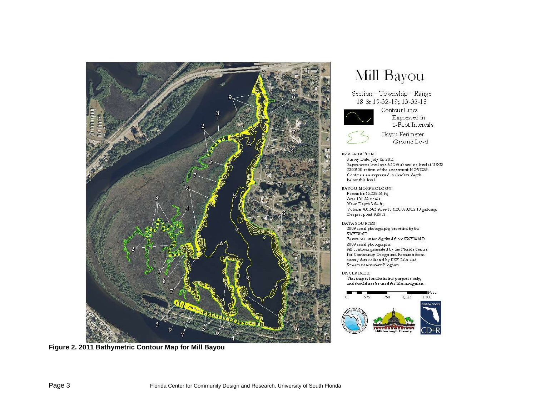

<span id="page-2-0"></span>**Figure 2. 2011 Bathymetric Contour Map for Mill Bayou**

# Mill Bayou

Section - Township - Range 18 & 19-32-19; 13-32-18



Contour Lines Expressed in 1-Foot Intervals



Bayou Perimeter Ground Level

#### EXPLANATION:

Survey Date: July 12, 2011 Bayou water level was 5.12 ft above sea level at USGS 2300500 at time of the assessment NGVD29. Contours are expressed in absolute depth below this level.

BAYOU MORPHOLOGY: Perimeter 13,228.66 ft; Area 101.22 Acres Me an Depth  $3.64$  ft; Volume 401 683 Acre-ft, (130,888,952.10 gallons); Deepest point 9.26 ft

DATA SOURCES: 2009 serial photography provided by the SWFWMD. Bayou perimeter digitized from SWFWMD 2009 aerial photographs. All contours generated by the Florida Center for Community Design and Research from survey data collected by USF Lake and Stream Assessment Program

DISCLAIMER: This map is for illustrative purposes only, and should not be used for lake navigation.

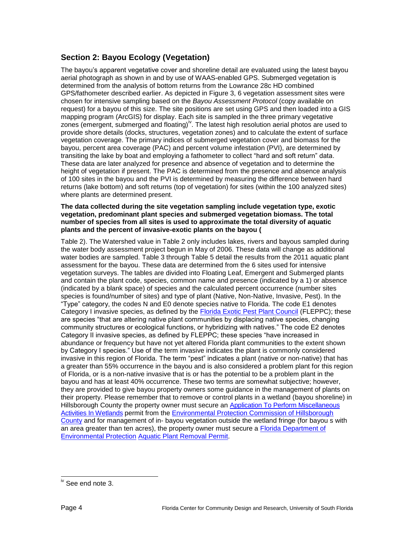# **Section 2: Bayou Ecology (Vegetation)**

The bayou's apparent vegetative cover and shoreline detail are evaluated using the latest bayou aerial photograph as shown in and by use of WAAS-enabled GPS. Submerged vegetation is determined from the analysis of bottom returns from the Lowrance 28c HD combined GPS/fathometer described earlier. As depicted in [Figure 3,](#page-5-0) 6 vegetation assessment sites were chosen for intensive sampling based on the *Bayou Assessment Protocol* (copy available on request) for a bayou of this size. The site positions are set using GPS and then loaded into a GIS mapping program (ArcGIS) for display. Each site is sampled in the three primary vegetative zones (emergent, submerged and floating)<sup>iv</sup>. The latest high resolution aerial photos are used to provide shore details (docks, structures, vegetation zones) and to calculate the extent of surface vegetation coverage. The primary indices of submerged vegetation cover and biomass for the bayou, percent area coverage (PAC) and percent volume infestation (PVI), are determined by transiting the lake by boat and employing a fathometer to collect "hard and soft return" data. These data are later analyzed for presence and absence of vegetation and to determine the height of vegetation if present. The PAC is determined from the presence and absence analysis of 100 sites in the bayou and the PVI is determined by measuring the difference between hard returns (lake bottom) and soft returns (top of vegetation) for sites (within the 100 analyzed sites) where plants are determined present.

#### **The data collected during the site vegetation sampling include vegetation type, exotic vegetation, predominant plant species and submerged vegetation biomass. The total number of species from all sites is used to approximate the total diversity of aquatic plants and the percent of invasive-exotic plants on the bayou [\(](#page-4-0)**

[Table 2\)](#page-4-0). The Watershed value in Table 2 only includes lakes, rivers and bayous sampled during the water body assessment project begun in May of 2006. These data will change as additional water bodies are sampled. [Table 3](#page-6-0) through [Table 5](#page-10-0) detail the results from the 2011 aquatic plant assessment for the bayou. These data are determined from the 6 sites used for intensive vegetation surveys. The tables are divided into Floating Leaf, Emergent and Submerged plants and contain the plant code, species, common name and presence (indicated by a 1) or absence (indicated by a blank space) of species and the calculated percent occurrence (number sites species is found/number of sites) and type of plant (Native, Non-Native, Invasive, Pest). In the "Type" category, the codes N and E0 denote species native to Florida. The code E1 denotes Category I invasive species, as defined by the [Florida Exotic Pest Plant Council](http://www.fleppc.org/) (FLEPPC); these are species "that are altering native plant communities by displacing native species, changing community structures or ecological functions, or hybridizing with natives." The code E2 denotes Category II invasive species, as defined by FLEPPC; these species "have increased in abundance or frequency but have not yet altered Florida plant communities to the extent shown by Category I species." Use of the term invasive indicates the plant is commonly considered invasive in this region of Florida. The term "pest" indicates a plant (native or non-native) that has a greater than 55% occurrence in the bayou and is also considered a problem plant for this region of Florida, or is a non-native invasive that is or has the potential to be a problem plant in the bayou and has at least 40% occurrence. These two terms are somewhat subjective; however, they are provided to give bayou property owners some guidance in the management of plants on their property. Please remember that to remove or control plants in a wetland (bayou shoreline) in Hillsborough County the property owner must secure an [Application To Perform Miscellaneous](http://www.epchc.org/Wetlands/MAIW20-MiscActivites.pdf)  [Activities In Wetlands](http://www.epchc.org/Wetlands/MAIW20-MiscActivites.pdf) permit from the [Environmental Protection Commission of Hillsborough](http://epchc.org/)  [County](http://epchc.org/) and for management of in- bayou vegetation outside the wetland fringe (for bayou s with an area greater than ten acres), the property owner must secure a [Florida Department of](http://www.dep.state.fl.us/)  [Environmental Protection](http://www.dep.state.fl.us/) [Aquatic Plant Removal Permit.](http://www.myfwc.com/License/Index.htm)

l

<sup>&</sup>lt;sup>iv</sup> See end note 3.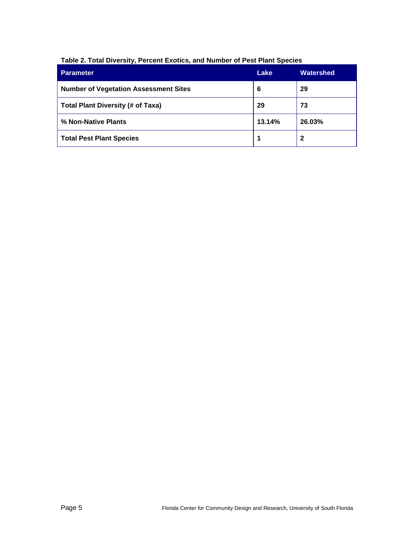| <b>Parameter</b>                             | Lake   | Watershed |
|----------------------------------------------|--------|-----------|
| <b>Number of Vegetation Assessment Sites</b> | 6      | 29        |
| <b>Total Plant Diversity (# of Taxa)</b>     | 29     | 73        |
| % Non-Native Plants                          | 13.14% | 26.03%    |
| <b>Total Pest Plant Species</b>              |        | 2         |

## <span id="page-4-0"></span>**Table 2. Total Diversity, Percent Exotics, and Number of Pest Plant Species**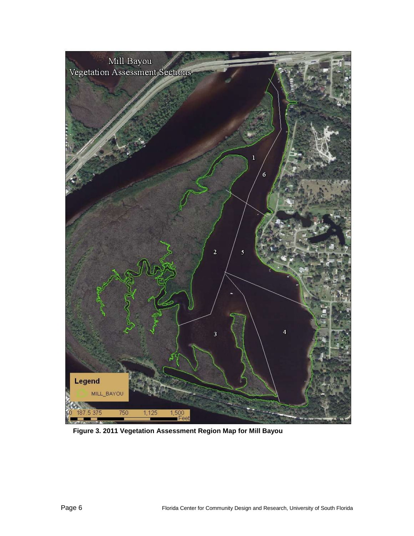

<span id="page-5-0"></span>**Figure 3. 2011 Vegetation Assessment Region Map for Mill Bayou**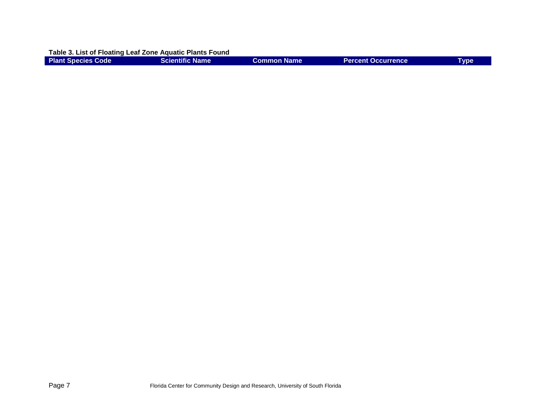**Table 3. List of Floating Leaf Zone Aquatic Plants Found**

<span id="page-6-0"></span>

| <b>Plant Species Code</b> | Scientific Name | Common Name | <b>Percent Occurrence</b> | Tvpe |
|---------------------------|-----------------|-------------|---------------------------|------|
|                           |                 |             |                           |      |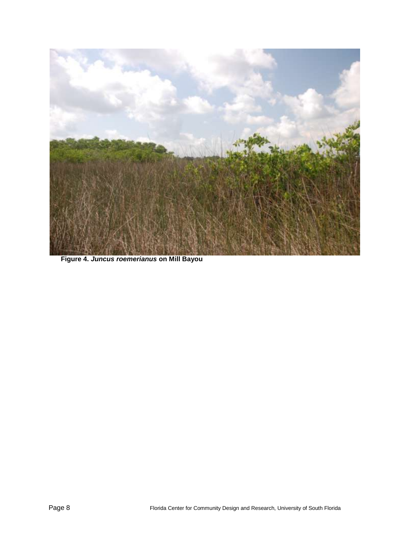

**Figure 4.** *Juncus roemerianus* **on Mill Bayou**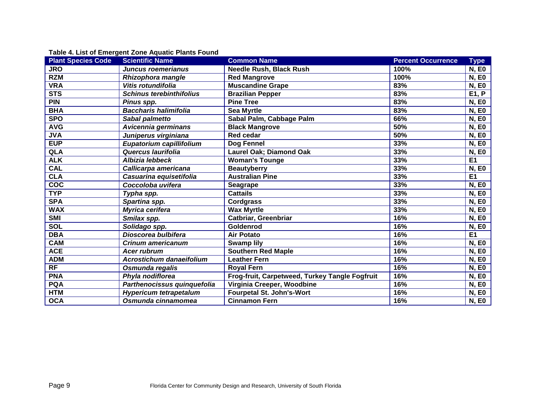| <b>Scientific Name</b>          | <b>Common Name</b>                             | <b>Percent Occurrence</b> | <b>Type</b>    |
|---------------------------------|------------------------------------------------|---------------------------|----------------|
| <b>Juncus roemerianus</b>       | <b>Needle Rush, Black Rush</b>                 | 100%                      | <b>N, EO</b>   |
| Rhizophora mangle               | <b>Red Mangrove</b>                            | 100%                      | <b>N, EO</b>   |
| Vitis rotundifolia              | <b>Muscandine Grape</b>                        | 83%                       | <b>N, EO</b>   |
| <b>Schinus terebinthifolius</b> | <b>Brazilian Pepper</b>                        | 83%                       | E1, P          |
| Pinus spp.                      | <b>Pine Tree</b>                               | 83%                       | <b>N, EO</b>   |
| <b>Baccharis halimifolia</b>    | <b>Sea Myrtle</b>                              | 83%                       | <b>N, EO</b>   |
| Sabal palmetto                  | Sabal Palm, Cabbage Palm                       | 66%                       | <b>N, EO</b>   |
| Avicennia germinans             | <b>Black Mangrove</b>                          | 50%                       | <b>N, EO</b>   |
| Juniperus virginiana            | <b>Red cedar</b>                               | 50%                       | <b>N, EO</b>   |
| Eupatorium capillifolium        | Dog Fennel                                     | 33%                       | <b>N, EO</b>   |
| Quercus laurifolia              | <b>Laurel Oak; Diamond Oak</b>                 | 33%                       | <b>N, EO</b>   |
| Albizia lebbeck                 | <b>Woman's Tounge</b>                          | 33%                       | E <sub>1</sub> |
| Callicarpa americana            | <b>Beautyberry</b>                             | 33%                       | <b>N, EO</b>   |
| Casuarina equisetifolia         | <b>Australian Pine</b>                         | 33%                       | E <sub>1</sub> |
| Coccoloba uvifera               | <b>Seagrape</b>                                | 33%                       | <b>N, EO</b>   |
| Typha spp.                      | <b>Cattails</b>                                | 33%                       | <b>N, EO</b>   |
| Spartina spp.                   | <b>Cordgrass</b>                               | 33%                       | <b>N, EO</b>   |
| Myrica cerifera                 | <b>Wax Myrtle</b>                              | 33%                       | <b>N, EO</b>   |
| Smilax spp.                     | <b>Catbriar, Greenbriar</b>                    | 16%                       | <b>N, EO</b>   |
| Solidago spp.                   | Goldenrod                                      | 16%                       | <b>N, EO</b>   |
| Dioscorea bulbifera             | <b>Air Potato</b>                              | 16%                       | E <sub>1</sub> |
| Crinum americanum               | <b>Swamp lily</b>                              | 16%                       | <b>N, EO</b>   |
| <b>Acer rubrum</b>              | <b>Southern Red Maple</b>                      | 16%                       | <b>N, EO</b>   |
| <b>Acrostichum danaeifolium</b> | <b>Leather Fern</b>                            | 16%                       | <b>N, EO</b>   |
| Osmunda regalis                 | <b>Royal Fern</b>                              | 16%                       | <b>N, EO</b>   |
| Phyla nodiflorea                | Frog-fruit, Carpetweed, Turkey Tangle Fogfruit | 16%                       | <b>N, EO</b>   |
| Parthenocissus quinquefolia     | Virginia Creeper, Woodbine                     | 16%                       | <b>N, EO</b>   |
| <b>Hypericum tetrapetalum</b>   | <b>Fourpetal St. John's-Wort</b>               | 16%                       | <b>N, EO</b>   |
| Osmunda cinnamomea              | <b>Cinnamon Fern</b>                           | 16%                       | <b>N, EO</b>   |
|                                 |                                                |                           |                |

**Table 4. List of Emergent Zone Aquatic Plants Found**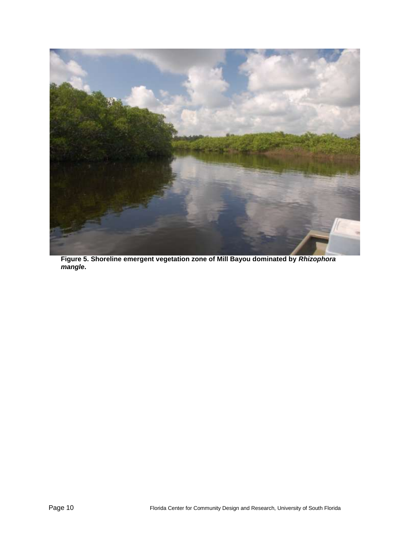

**Figure 5. Shoreline emergent vegetation zone of Mill Bayou dominated by** *Rhizophora mangle***.**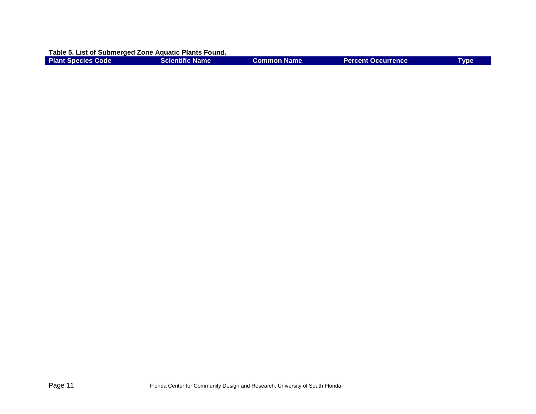**Table 5. List of Submerged Zone Aquatic Plants Found.**

<span id="page-10-0"></span>

| <b>Plant Species Code</b> | <b>Scientific Name</b> | Common Name | <b>Percent Occurrence</b> | Tvpe |
|---------------------------|------------------------|-------------|---------------------------|------|
|                           |                        |             |                           |      |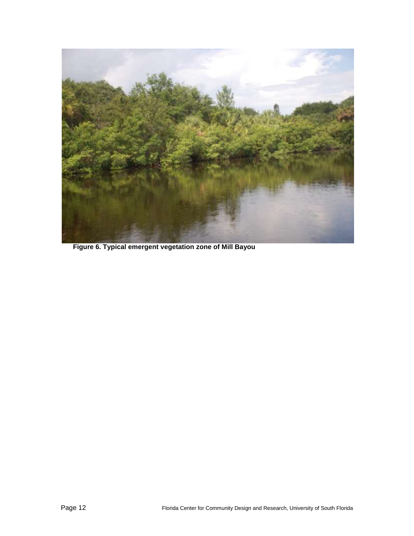

**Figure 6. Typical emergent vegetation zone of Mill Bayou**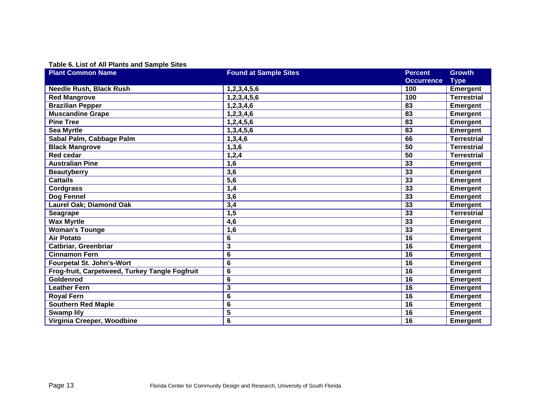## **Table 6. List of All Plants and Sample Sites**

| <b>Plant Common Name</b>                       | <b>Found at Sample Sites</b> | <b>Percent</b>    | <b>Growth</b>      |
|------------------------------------------------|------------------------------|-------------------|--------------------|
|                                                |                              | <b>Occurrence</b> | <b>Type</b>        |
| <b>Needle Rush, Black Rush</b>                 | 1,2,3,4,5,6                  | 100               | <b>Emergent</b>    |
| <b>Red Mangrove</b>                            | 1,2,3,4,5,6                  | 100               | <b>Terrestrial</b> |
| <b>Brazilian Pepper</b>                        | 1, 2, 3, 4, 6                | 83                | <b>Emergent</b>    |
| <b>Muscandine Grape</b>                        | 1,2,3,4,6                    | 83                | <b>Emergent</b>    |
| <b>Pine Tree</b>                               | 1,2,4,5,6                    | 83                | <b>Emergent</b>    |
| <b>Sea Myrtle</b>                              | 1,3,4,5,6                    | 83                | <b>Emergent</b>    |
| Sabal Palm, Cabbage Palm                       | 1,3,4,6                      | 66                | <b>Terrestrial</b> |
| <b>Black Mangrove</b>                          | 1,3,6                        | 50                | <b>Terrestrial</b> |
| <b>Red cedar</b>                               | 1,2,4                        | 50                | <b>Terrestrial</b> |
| <b>Australian Pine</b>                         | 1,6                          | 33                | <b>Emergent</b>    |
| <b>Beautyberry</b>                             | 3,6                          | 33                | <b>Emergent</b>    |
| <b>Cattails</b>                                | 5,6                          | 33                | <b>Emergent</b>    |
| <b>Cordgrass</b>                               | 1,4                          | 33                | <b>Emergent</b>    |
| Dog Fennel                                     | 3,6                          | 33                | <b>Emergent</b>    |
| <b>Laurel Oak; Diamond Oak</b>                 | 3,4                          | 33                | <b>Emergent</b>    |
| Seagrape                                       | 1,5                          | 33                | <b>Terrestrial</b> |
| <b>Wax Myrtle</b>                              | 4,6                          | 33                | <b>Emergent</b>    |
| <b>Woman's Tounge</b>                          | 1,6                          | 33                | <b>Emergent</b>    |
| <b>Air Potato</b>                              | 6                            | 16                | <b>Emergent</b>    |
| Catbriar, Greenbriar                           | 3                            | 16                | <b>Emergent</b>    |
| <b>Cinnamon Fern</b>                           | 6                            | 16                | <b>Emergent</b>    |
| <b>Fourpetal St. John's-Wort</b>               | 6                            | 16                | <b>Emergent</b>    |
| Frog-fruit, Carpetweed, Turkey Tangle Fogfruit | 6                            | 16                | <b>Emergent</b>    |
| Goldenrod                                      | 6                            | 16                | <b>Emergent</b>    |
| <b>Leather Fern</b>                            | 3                            | 16                | <b>Emergent</b>    |
| <b>Royal Fern</b>                              | 6                            | 16                | <b>Emergent</b>    |
| Southern Red Maple                             | 6                            | 16                | <b>Emergent</b>    |
| <b>Swamp lily</b>                              | 5                            | 16                | Emergent           |
| Virginia Creeper, Woodbine                     | 6                            | 16                | <b>Emergent</b>    |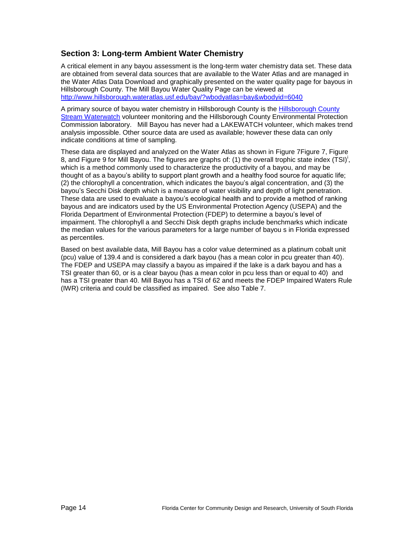## **Section 3: Long-term Ambient Water Chemistry**

A critical element in any bayou assessment is the long-term water chemistry data set. These data are obtained from several data sources that are available to the Water Atlas and are managed in the Water Atlas Data Download and graphically presented on the water quality page for bayous in Hillsborough County. The Mill Bayou Water Quality Page can be viewed at <http://www.hillsborough.wateratlas.usf.edu/bay/?wbodyatlas=bay&wbodyid=6040>

A primary source of bayou water chemistry in Hillsborough County is the [Hillsborough County](http://www.hillsborough.wateratlas.usf.edu/overview.aspx?aid=28)  [Stream Waterwatch](http://www.hillsborough.wateratlas.usf.edu/overview.aspx?aid=28) volunteer monitoring and the Hillsborough County Environmental Protection Commission laboratory. Mill Bayou has never had a LAKEWATCH volunteer, which makes trend analysis impossible. Other source data are used as available; however these data can only indicate conditions at time of sampling.

These data are displayed and analyzed on the Water Atlas as shown in [Figure 7Figure 7,](#page-14-0) [Figure](#page-15-0)  [8,](#page-15-0) and [Figure 9](#page-16-0) for Mill Bayou. The figures are graphs of: (1[\)](#page-1-1) the overall trophic state index (TSI)<sup>i</sup>, which is a method commonly used to characterize the productivity of a bayou, and may be thought of as a bayou's ability to support plant growth and a healthy food source for aquatic life; (2) the chlorophyll *a* concentration, which indicates the bayou's algal concentration, and (3) the bayou's Secchi Disk depth which is a measure of water visibility and depth of light penetration. These data are used to evaluate a bayou's ecological health and to provide a method of ranking bayous and are indicators used by the US Environmental Protection Agency (USEPA) and the Florida Department of Environmental Protection (FDEP) to determine a bayou's level of impairment. The chlorophyll a and Secchi Disk depth graphs include benchmarks which indicate the median values for the various parameters for a large number of bayou s in Florida expressed as percentiles.

Based on best available data, Mill Bayou has a color value determined as a platinum cobalt unit (pcu) value of 139.4 and is considered a dark bayou (has a mean color in pcu greater than 40). The FDEP and USEPA may classify a bayou as impaired if the lake is a dark bayou and has a TSI greater than 60, or is a clear bayou (has a mean color in pcu less than or equal to 40) and has a TSI greater than 40. Mill Bayou has a TSI of 62 and meets the FDEP Impaired Waters Rule (IWR) criteria and could be classified as impaired. See also [Table 7.](#page-17-0)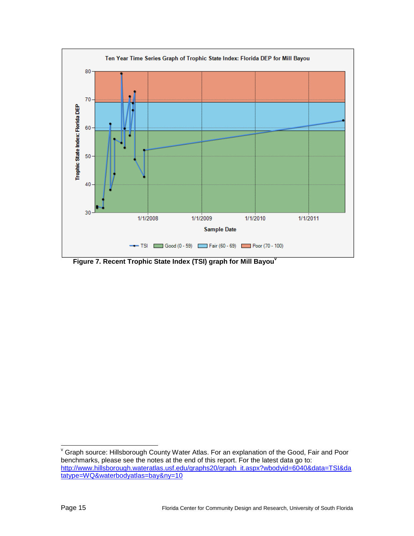

<span id="page-14-0"></span>**Figure 7. Recent Trophic State Index (TSI) graph for Mill Bayou<sup>v</sup>**

l

 $\mathrm{v}$  Graph source: Hillsborough County Water Atlas. For an explanation of the Good, Fair and Poor benchmarks, please see the notes at the end of this report. For the latest data go to: [http://www.hillsborough.wateratlas.usf.edu/graphs20/graph\\_it.aspx?wbodyid=6040&data=TSI&da](http://www.hillsborough.wateratlas.usf.edu/graphs20/graph_it.aspx?wbodyid=6040&data=TSI&datatype=WQ&waterbodyatlas=bay&ny=10) [tatype=WQ&waterbodyatlas=bay&ny=10](http://www.hillsborough.wateratlas.usf.edu/graphs20/graph_it.aspx?wbodyid=6040&data=TSI&datatype=WQ&waterbodyatlas=bay&ny=10)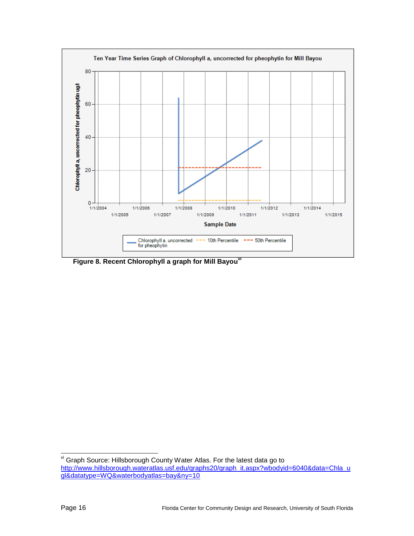

<span id="page-15-0"></span>**Figure 8. Recent Chlorophyll a graph for Mill Bayouvi**

l vi Graph Source: Hillsborough County Water Atlas. For the latest data go to [http://www.hillsborough.wateratlas.usf.edu/graphs20/graph\\_it.aspx?wbodyid=6040&data=Chla\\_u](http://www.hillsborough.wateratlas.usf.edu/graphs20/graph_it.aspx?wbodyid=6040&data=Chla_ugl&datatype=WQ&waterbodyatlas=bay&ny=10) [gl&datatype=WQ&waterbodyatlas=bay&ny=10](http://www.hillsborough.wateratlas.usf.edu/graphs20/graph_it.aspx?wbodyid=6040&data=Chla_ugl&datatype=WQ&waterbodyatlas=bay&ny=10)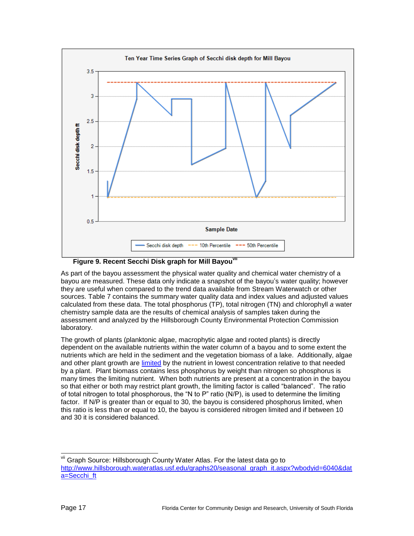

**Figure 9. Recent Secchi Disk graph for Mill Bayouvii**

<span id="page-16-0"></span>As part of the bayou assessment the physical water quality and chemical water chemistry of a bayou are measured. These data only indicate a snapshot of the bayou's water quality; however they are useful when compared to the trend data available from Stream Waterwatch or other sources. [Table 7](#page-17-0) contains the summary water quality data and index values and adjusted values calculated from these data. The total phosphorus (TP), total nitrogen (TN) and chlorophyll *a* water chemistry sample data are the results of chemical analysis of samples taken during the assessment and analyzed by the Hillsborough County Environmental Protection Commission laboratory.

The growth of plants (planktonic algae, macrophytic algae and rooted plants) is directly dependent on the available nutrients within the water column of a bayou and to some extent the nutrients which are held in the sediment and the vegetation biomass of a lake. Additionally, algae and other plant growth are [limited](mailto:http://plants.ifas.ufl.edu/guide/limnut.html) by the nutrient in lowest concentration relative to that needed by a plant. Plant biomass contains less phosphorus by weight than nitrogen so phosphorus is many times the limiting nutrient. When both nutrients are present at a concentration in the bayou so that either or both may restrict plant growth, the limiting factor is called "balanced". The ratio of total nitrogen to total phosphorous, the "N to P" ratio (N/P), is used to determine the limiting factor. If N/P is greater than or equal to 30, the bayou is considered phosphorus limited, when this ratio is less than or equal to 10, the bayou is considered nitrogen limited and if between 10 and 30 it is considered balanced.

l vii Graph Source: Hillsborough County Water Atlas. For the latest data go to [http://www.hillsborough.wateratlas.usf.edu/graphs20/seasonal\\_graph\\_it.aspx?wbodyid=6040&dat](http://www.hillsborough.wateratlas.usf.edu/graphs20/seasonal_graph_it.aspx?wbodyid=6040&data=Secchi_ft) [a=Secchi\\_ft](http://www.hillsborough.wateratlas.usf.edu/graphs20/seasonal_graph_it.aspx?wbodyid=6040&data=Secchi_ft)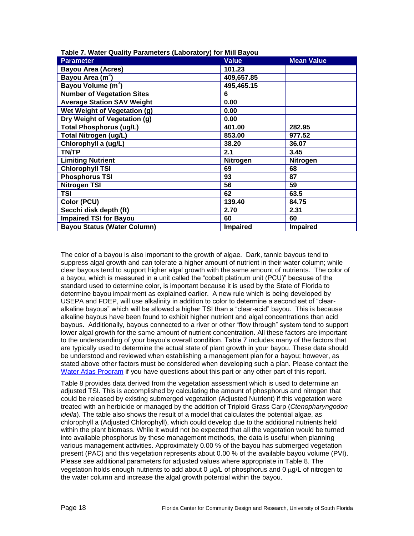| <b>Parameter</b>                   | <b>Value</b>    | <b>Mean Value</b> |
|------------------------------------|-----------------|-------------------|
| <b>Bayou Area (Acres)</b>          | 101.23          |                   |
| Bayou Area (m <sup>2</sup> )       | 409,657.85      |                   |
| Bayou Volume (m <sup>3</sup> )     | 495,465.15      |                   |
| <b>Number of Vegetation Sites</b>  | 6               |                   |
| <b>Average Station SAV Weight</b>  | 0.00            |                   |
| Wet Weight of Vegetation (g)       | 0.00            |                   |
| Dry Weight of Vegetation (g)       | 0.00            |                   |
| <b>Total Phosphorus (ug/L)</b>     | 401.00          | 282.95            |
| <b>Total Nitrogen (ug/L)</b>       | 853.00          | 977.52            |
| Chlorophyll a (ug/L)               | 38.20           | 36.07             |
| <b>TN/TP</b>                       | 2.1             | 3.45              |
| <b>Limiting Nutrient</b>           | <b>Nitrogen</b> | <b>Nitrogen</b>   |
| <b>Chlorophyll TSI</b>             | 69              | 68                |
| <b>Phosphorus TSI</b>              | 93              | 87                |
| <b>Nitrogen TSI</b>                | 56              | 59                |
| TSI                                | 62              | 63.5              |
| Color (PCU)                        | 139.40          | 84.75             |
| Secchi disk depth (ft)             | 2.70            | 2.31              |
| <b>Impaired TSI for Bayou</b>      | 60              | 60                |
| <b>Bayou Status (Water Column)</b> | Impaired        | <b>Impaired</b>   |

<span id="page-17-0"></span>**Table 7. Water Quality Parameters (Laboratory) for Mill Bayou**

The color of a bayou is also important to the growth of algae. Dark, tannic bayous tend to suppress algal growth and can tolerate a higher amount of nutrient in their water column; while clear bayous tend to support higher algal growth with the same amount of nutrients. The color of a bayou, which is measured in a unit called the "cobalt platinum unit (PCU)" because of the standard used to determine color, is important because it is used by the State of Florida to determine bayou impairment as explained earlier. A new rule which is being developed by USEPA and FDEP, will use alkalinity in addition to color to determine a second set of "clearalkaline bayous" which will be allowed a higher TSI than a "clear-acid" bayou. This is because alkaline bayous have been found to exhibit higher nutrient and algal concentrations than acid bayous. Additionally, bayous connected to a river or other "flow through" system tend to support lower algal growth for the same amount of nutrient concentration. All these factors are important to the understanding of your bayou's overall condition. Table 7 includes many of the factors that are typically used to determine the actual state of plant growth in your bayou. These data should be understood and reviewed when establishing a management plan for a bayou; however, as stated above other factors must be considered when developing such a plan. Please contact the [Water Atlas Program](mailto:griffin@arch.usf.edu) if you have questions about this part or any other part of this report.

[Table 8](#page-18-0) provides data derived from the vegetation assessment which is used to determine an adjusted TSI. This is accomplished by calculating the amount of phosphorus and nitrogen that could be released by existing submerged vegetation (Adjusted Nutrient) if this vegetation were treated with an herbicide or managed by the addition of Triploid Grass Carp (*Ctenopharyngodon idella*). The table also shows the result of a model that calculates the potential algae, as chlorophyll a (Adjusted Chlorophyll), which could develop due to the additional nutrients held within the plant biomass. While it would not be expected that all the vegetation would be turned into available phosphorus by these management methods, the data is useful when planning various management activities. Approximately 0.00 % of the bayou has submerged vegetation present (PAC) and this vegetation represents about 0.00 % of the available bayou volume (PVI). Please see additional parameters for adjusted values where appropriate in [Table 8.](#page-18-0) The vegetation holds enough nutrients to add about 0  $\mu$ g/L of phosphorus and 0  $\mu$ g/L of nitrogen to the water column and increase the algal growth potential within the bayou.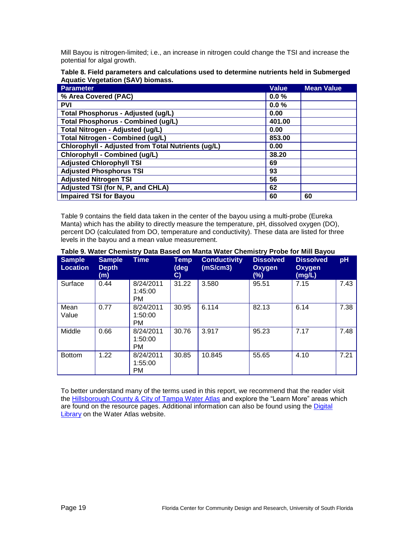Mill Bayou is nitrogen-limited; i.e., an increase in nitrogen could change the TSI and increase the potential for algal growth.

<span id="page-18-0"></span>**Table 8. Field parameters and calculations used to determine nutrients held in Submerged Aquatic Vegetation (SAV) biomass.**

| <b>Parameter</b>                                   | <b>Value</b> | <b>Mean Value</b> |
|----------------------------------------------------|--------------|-------------------|
| % Area Covered (PAC)                               | 0.0%         |                   |
| <b>PVI</b>                                         | 0.0%         |                   |
| <b>Total Phosphorus - Adjusted (ug/L)</b>          | 0.00         |                   |
| <b>Total Phosphorus - Combined (ug/L)</b>          | 401.00       |                   |
| Total Nitrogen - Adjusted (ug/L)                   | 0.00         |                   |
| <b>Total Nitrogen - Combined (ug/L)</b>            | 853.00       |                   |
| Chlorophyll - Adjusted from Total Nutrients (ug/L) | 0.00         |                   |
| Chlorophyll - Combined (ug/L)                      | 38.20        |                   |
| <b>Adjusted Chlorophyll TSI</b>                    | 69           |                   |
| <b>Adjusted Phosphorus TSI</b>                     | 93           |                   |
| <b>Adjusted Nitrogen TSI</b>                       | 56           |                   |
| Adjusted TSI (for N, P, and CHLA)                  | 62           |                   |
| <b>Impaired TSI for Bayou</b>                      | 60           | 60                |

[Table 9](#page-18-1) contains the field data taken in the center of the bayou using a multi-probe (Eureka Manta) which has the ability to directly measure the temperature, pH, dissolved oxygen (DO), percent DO (calculated from DO, temperature and conductivity). These data are listed for three levels in the bayou and a mean value measurement.

| <b>Sample</b><br><b>Location</b> | <b>Sample</b><br><b>Depth</b><br>(m) | Time                              | Temp<br>(deg<br>C) | <b>Conductivity</b><br>(mS/cm3) | <b>Dissolved</b><br>Oxygen<br>(%) | <b>Dissolved</b><br>Oxygen<br>(mg/L) | pH   |
|----------------------------------|--------------------------------------|-----------------------------------|--------------------|---------------------------------|-----------------------------------|--------------------------------------|------|
| Surface                          | 0.44                                 | 8/24/2011<br>1:45:00<br><b>PM</b> | 31.22              | 3.580                           | 95.51                             | 7.15                                 | 7.43 |
| Mean<br>Value                    | 0.77                                 | 8/24/2011<br>1:50:00<br><b>PM</b> | 30.95              | 6.114                           | 82.13                             | 6.14                                 | 7.38 |
| Middle                           | 0.66                                 | 8/24/2011<br>1:50:00<br>PM.       | 30.76              | 3.917                           | 95.23                             | 7.17                                 | 7.48 |
| <b>Bottom</b>                    | 1.22                                 | 8/24/2011<br>1:55:00<br><b>PM</b> | 30.85              | 10.845                          | 55.65                             | 4.10                                 | 7.21 |

#### <span id="page-18-1"></span>**Table 9. Water Chemistry Data Based on Manta Water Chemistry Probe for Mill Bayou**

To better understand many of the terms used in this report, we recommend that the reader visit the [Hillsborough County & City of Tampa Water Atlas](http://www.hillsborough.wateratlas.usf.edu/topics.aspx#quality) and explore the "Learn More" areas which are found on the resource pages. Additional information can also be found using the [Digital](http://www.hillsborough.wateratlas.usf.edu/digitallibrary/)  [Library](http://www.hillsborough.wateratlas.usf.edu/digitallibrary/) on the Water Atlas website.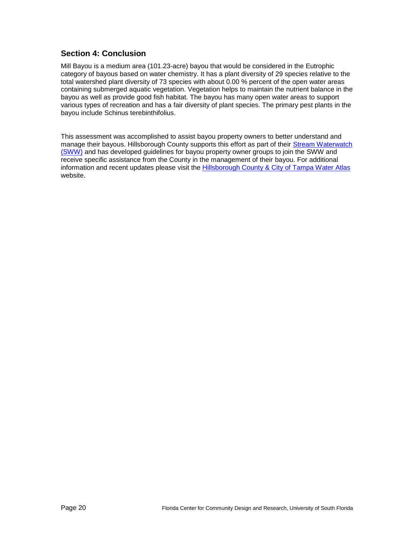## **Section 4: Conclusion**

Mill Bayou is a medium area (101.23-acre) bayou that would be considered in the Eutrophic category of bayous based on water chemistry. It has a plant diversity of 29 species relative to the total watershed plant diversity of 73 species with about 0.00 % percent of the open water areas containing submerged aquatic vegetation. Vegetation helps to maintain the nutrient balance in the bayou as well as provide good fish habitat. The bayou has many open water areas to support various types of recreation and has a fair diversity of plant species. The primary pest plants in the bayou include Schinus terebinthifolius.

This assessment was accomplished to assist bayou property owners to better understand and manage their bayous. Hillsborough County supports this effort as part of their [Stream Waterwatch](http://www.hillsborough.wateratlas.usf.edu/overview.aspx?aid=28)  [\(SWW\)](http://www.hillsborough.wateratlas.usf.edu/overview.aspx?aid=28) and has developed guidelines for bayou property owner groups to join the SWW and receive specific assistance from the County in the management of their bayou. For additional information and recent updates please visit the [Hillsborough County & City of Tampa Water Atlas](http://www.hillsborough.wateratlas.usf.edu/LakeManagement/) website.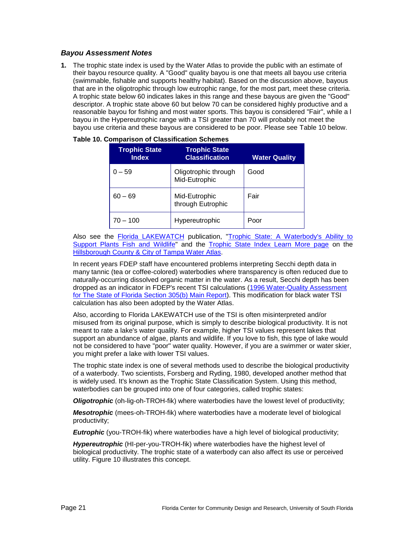### *Bayou Assessment Notes*

**1.** The trophic state index is used by the Water Atlas to provide the public with an estimate of their bayou resource quality. A "Good" quality bayou is one that meets all bayou use criteria (swimmable, fishable and supports healthy habitat). Based on the discussion above, bayous that are in the oligotrophic through low eutrophic range, for the most part, meet these criteria. A trophic state below 60 indicates lakes in this range and these bayous are given the "Good" descriptor. A trophic state above 60 but below 70 can be considered highly productive and a reasonable bayou for fishing and most water sports. This bayou is considered "Fair", while a l bayou in the Hypereutrophic range with a TSI greater than 70 will probably not meet the bayou use criteria and these bayous are considered to be poor. Please see [Table 10](#page-20-0) below.

| <b>Trophic State</b><br><b>Index</b> | <b>Trophic State</b><br><b>Classification</b> | <b>Water Quality</b> |
|--------------------------------------|-----------------------------------------------|----------------------|
| $0 - 59$                             | Oligotrophic through<br>Mid-Eutrophic         | Good                 |
| $60 - 69$                            | Mid-Eutrophic<br>through Eutrophic            | Fair                 |
| $70 - 100$                           | Hypereutrophic                                | Poor                 |

<span id="page-20-0"></span>

|  | <b>Table 10. Comparison of Classification Schemes</b> |
|--|-------------------------------------------------------|
|--|-------------------------------------------------------|

Also see the [Florida LAKEWATCH](http://lakewatch.ifas.ufl.edu/) publication, "Trophic State: A Waterbody's Ability to [Support Plants Fish and Wildlife"](http://lakewatch.ifas.ufl.edu/LWcirc.html) and the [Trophic State Index Learn More page](http://www.hillsborough.wateratlas.usf.edu/shared/learnmore.asp?toolsection=lm_tsi) on the [Hillsborough County & City of Tampa Water Atlas.](http://www.hillsborough.wateratlas.usf.edu/)

In recent years FDEP staff have encountered problems interpreting Secchi depth data in many tannic (tea or coffee-colored) waterbodies where transparency is often reduced due to naturally-occurring dissolved organic matter in the water. As a result, Secchi depth has been dropped as an indicator in FDEP's recent TSI calculations [\(1996 Water-Quality Assessment](http://www.seminole.wateratlas.usf.edu/upload/documents/1996%20Water-Quality%20Assessment%20for%20the%20State%20of%20Florida%20Section%20305(b)%20Main%20Report.pdf)  [for The State of Florida Section 305\(b\) Main Report\)](http://www.seminole.wateratlas.usf.edu/upload/documents/1996%20Water-Quality%20Assessment%20for%20the%20State%20of%20Florida%20Section%20305(b)%20Main%20Report.pdf). This modification for black water TSI calculation has also been adopted by the Water Atlas.

Also, according to Florida LAKEWATCH use of the TSI is often misinterpreted and/or misused from its original purpose, which is simply to describe biological productivity. It is not meant to rate a lake's water quality. For example, higher TSI values represent lakes that support an abundance of algae, plants and wildlife. If you love to fish, this type of lake would not be considered to have "poor" water quality. However, if you are a swimmer or water skier, you might prefer a lake with lower TSI values.

The trophic state index is one of several methods used to describe the biological productivity of a waterbody. Two scientists, Forsberg and Ryding, 1980, developed another method that is widely used. It's known as the Trophic State Classification System. Using this method, waterbodies can be grouped into one of four categories, called trophic states:

*Oligotrophic* (oh-lig-oh-TROH-fik) where waterbodies have the lowest level of productivity;

*Mesotrophic* (mees-oh-TROH-fik) where waterbodies have a moderate level of biological productivity;

*Eutrophic* (you-TROH-fik) where waterbodies have a high level of biological productivity;

*Hypereutrophic* (HI-per-you-TROH-fik) where waterbodies have the highest level of biological productivity. The trophic state of a waterbody can also affect its use or perceived utility. [Figure 10](#page-21-0) illustrates this concept.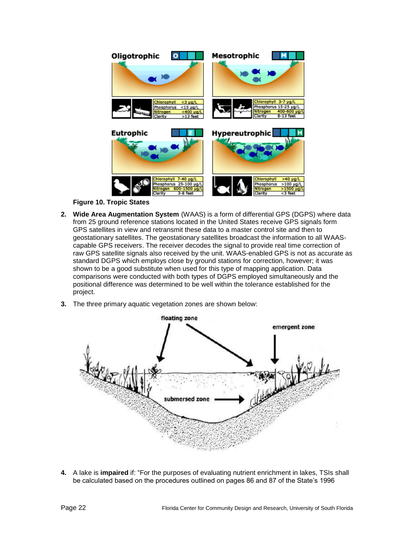

**Figure 10. Tropic States**

- <span id="page-21-0"></span>**2. Wide Area Augmentation System** (WAAS) is a form of differential GPS (DGPS) where data from 25 ground reference stations located in the United States receive GPS signals form GPS satellites in view and retransmit these data to a master control site and then to geostationary satellites. The geostationary satellites broadcast the information to all WAAScapable GPS receivers. The receiver decodes the signal to provide real time correction of raw GPS satellite signals also received by the unit. WAAS-enabled GPS is not as accurate as standard DGPS which employs close by ground stations for correction, however; it was shown to be a good substitute when used for this type of mapping application. Data comparisons were conducted with both types of DGPS employed simultaneously and the positional difference was determined to be well within the tolerance established for the project.
- **3.** The three primary aquatic vegetation zones are shown below:



**4.** A lake is **impaired** if: "For the purposes of evaluating nutrient enrichment in lakes, TSIs shall be calculated based on the procedures outlined on pages 86 and 87 of the State's 1996